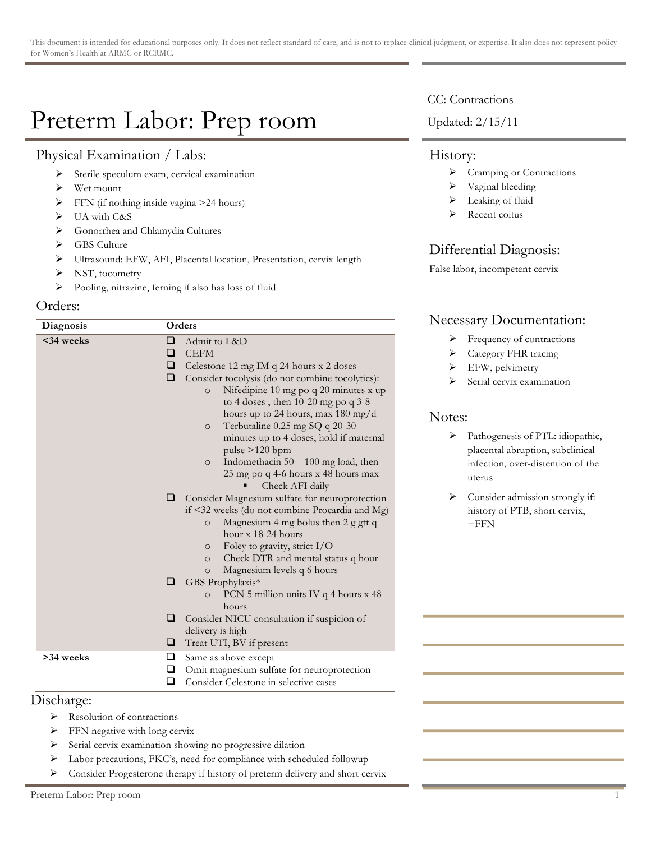# Preterm Labor: Prep room

# Physical Examination / Labs:

- $\triangleright$  Sterile speculum exam, cervical examination
- $\triangleright$  Wet mount
- $\triangleright$  FFN (if nothing inside vagina >24 hours)
- $\triangleright$  UA with C&S
- > Gonorrhea and Chlamydia Cultures
- ▶ GBS Culture
- > Ultrasound: EFW, AFI, Placental location, Presentation, cervix length
- > NST, tocometry
- ! Pooling, nitrazine, ferning if also has loss of fluid

### Orders:

| Diagnosis      | Orders |                                                  |  |
|----------------|--------|--------------------------------------------------|--|
| <34 weeks      | □      | Admit to L&D                                     |  |
|                | □      | <b>CEFM</b>                                      |  |
|                | ❏      | Celestone 12 mg IM q 24 hours x 2 doses          |  |
|                | □      | Consider tocolysis (do not combine tocolytics):  |  |
|                |        | Nifedipine 10 mg po q 20 minutes x up<br>$\circ$ |  |
|                |        | to 4 doses, then $10-20$ mg po q $3-8$           |  |
|                |        | hours up to 24 hours, max $180 \text{ mg/d}$     |  |
|                |        | Terbutaline 0.25 mg SQ q 20-30<br>$\circ$        |  |
|                |        | minutes up to 4 doses, hold if maternal          |  |
|                |        | pulse >120 bpm                                   |  |
|                |        | Indomethacin $50 - 100$ mg load, then<br>$\circ$ |  |
|                |        | 25 mg po q 4-6 hours x 48 hours max              |  |
|                |        | Check AFI daily                                  |  |
|                | □      | Consider Magnesium sulfate for neuroprotection   |  |
|                |        | if <32 weeks (do not combine Procardia and Mg)   |  |
|                |        | Magnesium 4 mg bolus then 2 g gtt q<br>$\circ$   |  |
|                |        | hour $x$ 18-24 hours                             |  |
|                |        | Foley to gravity, strict $I/O$<br>$\circ$        |  |
|                |        | Check DTR and mental status q hour<br>$\circ$    |  |
|                |        | Magnesium levels q 6 hours<br>$\Omega$           |  |
|                | □      | GBS Prophylaxis*                                 |  |
|                |        | PCN 5 million units IV q 4 hours x 48<br>$\circ$ |  |
|                |        | hours                                            |  |
|                | ⊔      | Consider NICU consultation if suspicion of       |  |
|                |        | delivery is high                                 |  |
|                | O.     | Treat UTI, BV if present                         |  |
| >34 weeks<br>□ |        | Same as above except                             |  |
|                | □      | Omit magnesium sulfate for neuroprotection       |  |
|                | □      | Consider Celestone in selective cases            |  |

## Discharge:

- $\triangleright$  Resolution of contractions
- $\triangleright$  FFN negative with long cervix
- $\triangleright$  Serial cervix examination showing no progressive dilation
- ! Labor precautions, FKC's, need for compliance with scheduled followup
- ! Consider Progesterone therapy if history of preterm delivery and short cervix

#### CC: Contractions

Updated: 2/15/11

#### History:

- > Cramping or Contractions
- $\triangleright$  Vaginal bleeding
- > Leaking of fluid
- > Recent coitus

# Differential Diagnosis:

False labor, incompetent cervix

## Necessary Documentation:

- $\triangleright$  Frequency of contractions
- > Category FHR tracing
- > EFW, pelvimetry
- Serial cervix examination

#### Notes:

- > Pathogenesis of PTL: idiopathic, placental abruption, subclinical infection, over-distention of the uterus
- Consider admission strongly if: history of PTB, short cervix,  $+$ FFN